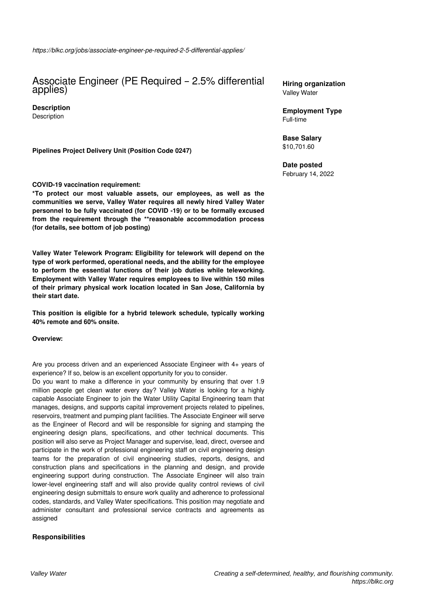# Associate Engineer (PE Required – 2.5% differential applies)

**Description Description** 

**Pipelines Project Delivery Unit (Position Code 0247)** 

## **COVID-19 vaccination requirement:**

**\*To protect our most valuable assets, our employees, as well as the communities we serve, Valley Water requires all newly hired Valley Water personnel to be fully vaccinated (for COVID -19) or to be formally excused from the requirement through the \*\*reasonable accommodation process (for details, see bottom of job posting)**

**Valley Water Telework Program: Eligibility for telework will depend on the type of work performed, operational needs, and the ability for the employee to perform the essential functions of their job duties while teleworking. Employment with Valley Water requires employees to live within 150 miles of their primary physical work location located in San Jose, California by their start date.** 

**This position is eligible for a hybrid telework schedule, typically working 40% remote and 60% onsite.**

**Overview:**

Are you process driven and an experienced Associate Engineer with 4+ years of experience? If so, below is an excellent opportunity for you to consider.

Do you want to make a difference in your community by ensuring that over 1.9 million people get clean water every day? Valley Water is looking for a highly capable Associate Engineer to join the Water Utility Capital Engineering team that manages, designs, and supports capital improvement projects related to pipelines, reservoirs, treatment and pumping plant facilities. The Associate Engineer will serve as the Engineer of Record and will be responsible for signing and stamping the engineering design plans, specifications, and other technical documents. This position will also serve as Project Manager and supervise, lead, direct, oversee and participate in the work of professional engineering staff on civil engineering design teams for the preparation of civil engineering studies, reports, designs, and construction plans and specifications in the planning and design, and provide engineering support during construction. The Associate Engineer will also train lower-level engineering staff and will also provide quality control reviews of civil engineering design submittals to ensure work quality and adherence to professional codes, standards, and Valley Water specifications. This position may negotiate and administer consultant and professional service contracts and agreements as assigned

## **Responsibilities**

**Hiring organization** Valley Water

**Employment Type** Full-time

**Base Salary** \$10,701.60

**Date posted**

February 14, 2022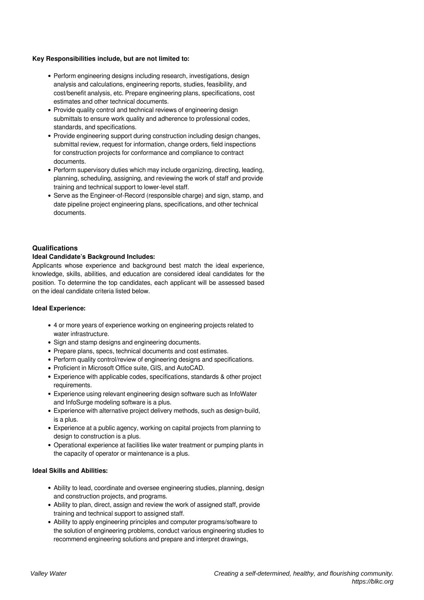### **Key Responsibilities include, but are not limited to:**

- Perform engineering designs including research, investigations, design analysis and calculations, engineering reports, studies, feasibility, and cost/benefit analysis, etc. Prepare engineering plans, specifications, cost estimates and other technical documents.
- Provide quality control and technical reviews of engineering design submittals to ensure work quality and adherence to professional codes, standards, and specifications.
- Provide engineering support during construction including design changes, submittal review, request for information, change orders, field inspections for construction projects for conformance and compliance to contract documents.
- Perform supervisory duties which may include organizing, directing, leading, planning, scheduling, assigning, and reviewing the work of staff and provide training and technical support to lower-level staff.
- Serve as the Engineer-of-Record (responsible charge) and sign, stamp, and date pipeline project engineering plans, specifications, and other technical documents.

## **Qualifications**

### **Ideal Candidate's Background Includes:**

Applicants whose experience and background best match the ideal experience, knowledge, skills, abilities, and education are considered ideal candidates for the position. To determine the top candidates, each applicant will be assessed based on the ideal candidate criteria listed below.

## **Ideal Experience:**

- 4 or more years of experience working on engineering projects related to water infrastructure.
- Sign and stamp designs and engineering documents.
- Prepare plans, specs, technical documents and cost estimates.
- Perform quality control/review of engineering designs and specifications.
- Proficient in Microsoft Office suite, GIS, and AutoCAD.
- Experience with applicable codes, specifications, standards & other project requirements.
- Experience using relevant engineering design software such as InfoWater and InfoSurge modeling software is a plus.
- Experience with alternative project delivery methods, such as design-build, is a plus.
- Experience at a public agency, working on capital projects from planning to design to construction is a plus.
- Operational experience at facilities like water treatment or pumping plants in the capacity of operator or maintenance is a plus.

#### **Ideal Skills and Abilities:**

- Ability to lead, coordinate and oversee engineering studies, planning, design and construction projects, and programs.
- Ability to plan, direct, assign and review the work of assigned staff, provide training and technical support to assigned staff.
- Ability to apply engineering principles and computer programs/software to the solution of engineering problems, conduct various engineering studies to recommend engineering solutions and prepare and interpret drawings,